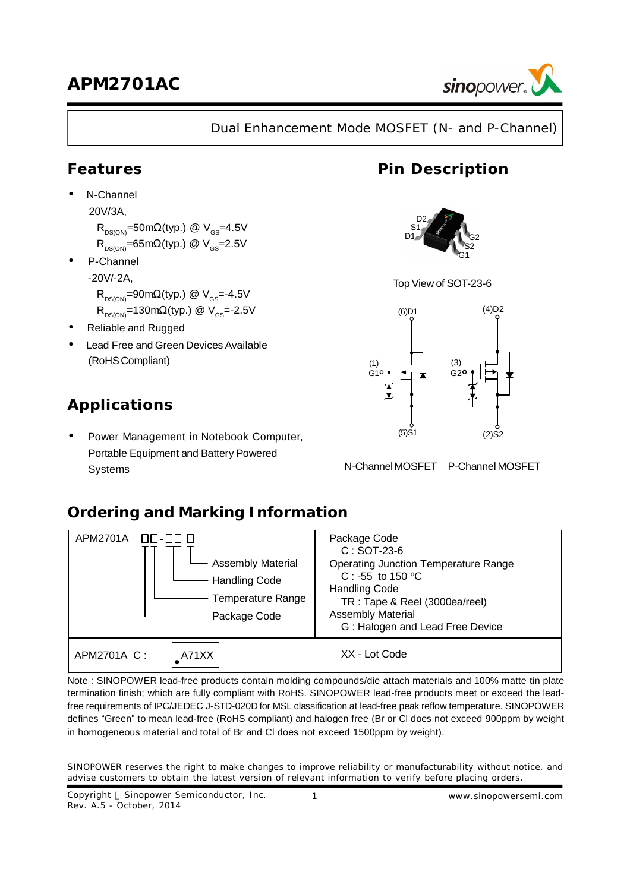

## Dual Enhancement Mode MOSFET (N- and P-Channel)

## **Features**

•N-Channel 20V/3A,

> $R_{DS(OM)} = 50 \text{m}\Omega(\text{typ.}) \text{ @ } V_{CS} = 4.5V$  $R_{DS(ON)}=65m\Omega(typ.)$  @  $V_{GS}=2.5V$

- **·** P-Channel
- -20V/-2A,
	- $R_{DS(ON)}=90m\Omega(typ.)$  @  $V_{GS}=4.5V$

 $R_{DS(ON)}$ =130m $\Omega$ (typ.) @ V<sub>GS</sub>=-2.5V

- **·** Reliable and Rugged
- **·** Lead Free and Green Devices Available (RoHSCompliant)

## **Applications**

**·** Power Management in Notebook Computer, Portable Equipment and Battery Powered Systems

## **Pin Description**



Top View of SOT-23-6



N-ChannelMOSFET P-Channel MOSFET

## **Ordering and Marking Information**



Note : SINOPOWER lead-free products contain molding compounds/die attach materials and 100% matte tin plate termination finish; which are fully compliant with RoHS. SINOPOWER lead-free products meet or exceed the leadfree requirements of IPC/JEDEC J-STD-020D for MSL classification at lead-free peak reflow temperature. SINOPOWER defines "Green" to mean lead-free (RoHS compliant) and halogen free (Br or Cl does not exceed 900ppm by weight in homogeneous material and total of Br and Cl does not exceed 1500ppm by weight).

SINOPOWER reserves the right to make changes to improve reliability or manufacturability without notice, and advise customers to obtain the latest version of relevant information to verify before placing orders.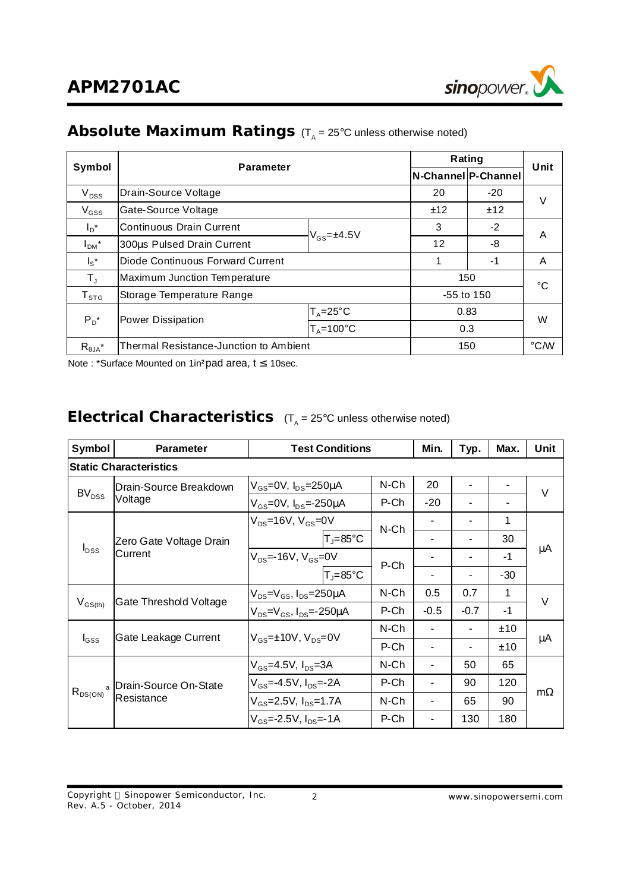

## **Absolute Maximum Ratings** (T<sub>A</sub> = 25°C unless otherwise noted)

|                             | <b>Parameter</b>                       | Rating                | Unit    |              |   |
|-----------------------------|----------------------------------------|-----------------------|---------|--------------|---|
| Symbol                      |                                        | N-Channel P-Channel   |         |              |   |
| $V_{DSS}$                   | Drain-Source Voltage                   | 20                    | $-20$   |              |   |
| $V_{GSS}$                   | Gate-Source Voltage                    | ±12                   | ±12     |              |   |
| $I_D^*$                     | <b>Continuous Drain Current</b>        | $V_{GS}$ = $\pm$ 4.5V | 3       | $-2$         | A |
| $I_{DM}$ *                  | 300µs Pulsed Drain Current             |                       | $12 \,$ | -8           |   |
| $\mathsf{I}_{\mathsf{S}}^*$ | Diode Continuous Forward Current       | 1                     | $-1$    | A            |   |
| $T_{J}$                     | Maximum Junction Temperature           | 150                   |         | °C           |   |
| $T_{\text{STG}}$            | Storage Temperature Range              | $-55$ to 150          |         |              |   |
| $P_D^*$                     |                                        | $T_A = 25^\circ C$    |         | 0.83         | W |
|                             | <b>Power Dissipation</b>               | $T_A = 100^{\circ}C$  |         | 0.3          |   |
| $R_{\theta JA}^*$           | Thermal Resistance-Junction to Ambient | 150                   |         | $\degree$ CM |   |

Note : \*Surface Mounted on 1in**2** pad area, t ≤ 10sec.

## **Electrical Characteristics**  $(T_A = 25^\circ C$  unless otherwise noted)

| Symbol       | <b>Parameter</b>                       | <b>Test Conditions</b>                       | Min.    | Typ.   | Max.                     | Unit  |           |
|--------------|----------------------------------------|----------------------------------------------|---------|--------|--------------------------|-------|-----------|
|              | <b>Static Characteristics</b>          |                                              |         |        |                          |       |           |
| $BV_{DSS}$   | Drain-Source Breakdown                 | $V_{GS}$ =0V, $I_{DS}$ =250µA                | $N$ -Ch | 20     |                          |       | V         |
|              | Voltage                                | $V_{\text{GS}}$ =0V, $I_{\text{DS}}$ =-250µA | P-Ch    | $-20$  | $\overline{\phantom{a}}$ | ۰     |           |
|              |                                        | $V_{DS}$ =16V, $V_{GS}$ =0V                  | $N$ -Ch |        |                          | 1     |           |
|              | Zero Gate Voltage Drain                | $T = 85^{\circ}$ C                           |         |        |                          | 30    |           |
| $I_{DSS}$    | Current                                | $V_{DS} = -16V$ , $V_{GS} = 0V$              | P-Ch    | ٠      |                          | -1    | μA        |
|              |                                        | $T_{\rm J} = 85^{\circ}C$                    |         |        |                          | $-30$ |           |
| $V_{GS(th)}$ | Gate Threshold Voltage                 | $V_{DS} = V_{GS}$ , $I_{DS} = 250 \mu A$     | N-Ch    | 0.5    | 0.7                      | 1     | $\vee$    |
|              |                                        | $V_{DS}$ = $V_{GS}$ , $I_{DS}$ =-250µA       | P-Ch    | $-0.5$ | $-0.7$                   | -1    |           |
|              | Gate Leakage Current                   | $V_{GS}$ = $\pm$ 10V, $V_{DS}$ =0V           | N-Ch    |        |                          | ±10   |           |
| $I_{GSS}$    |                                        | P-Ch                                         |         | ۰      |                          | ±10   | μA        |
| $R_{DS(ON)}$ |                                        | $V_{GS}$ =4.5V, $I_{DS}$ =3A                 | N-Ch    | ۰      | 50                       | 65    |           |
|              | a  Drain-Source On-State<br>Resistance | $V_{GS}$ =-4.5V, $I_{DS}$ =-2A               | P-Ch    | ٠      | 90                       | 120   |           |
|              |                                        | $V_{GS}$ =2.5V, $I_{DS}$ =1.7A               | N-Ch    |        | 65                       | 90    | $m\Omega$ |
|              |                                        | $V_{GS}$ =-2.5V, $I_{DS}$ =-1A               | P-Ch    |        | 130                      | 180   |           |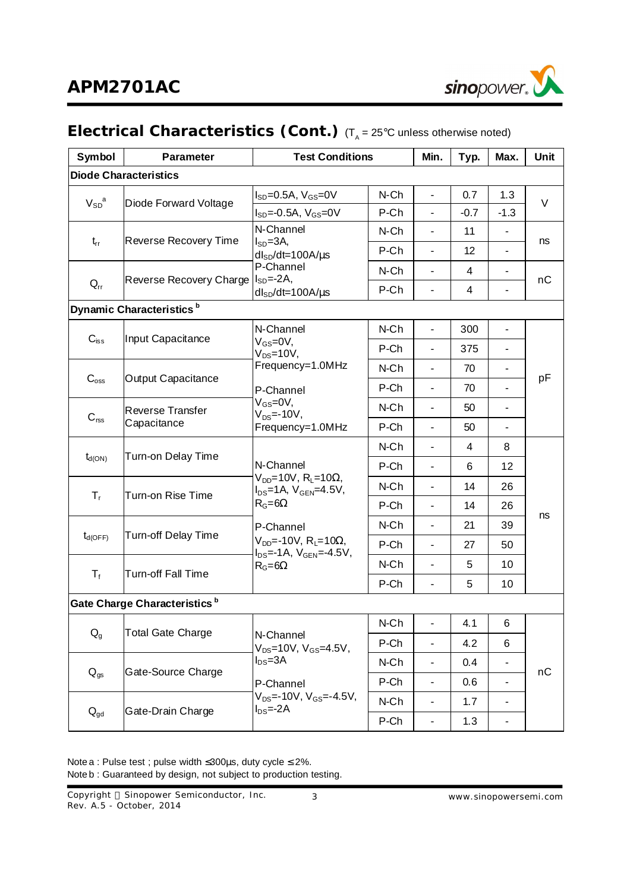

## **Electrical Characteristics (Cont.)** (T<sub>A</sub> = 25°C unless otherwise noted)

| Symbol                       | <b>Parameter</b>                         | <b>Test Conditions</b>                                                                  | Min.    | Typ.                         | Max.   | <b>Unit</b>                  |    |  |
|------------------------------|------------------------------------------|-----------------------------------------------------------------------------------------|---------|------------------------------|--------|------------------------------|----|--|
| <b>Diode Characteristics</b> |                                          |                                                                                         |         |                              |        |                              |    |  |
| $V_{SD}^{\quad a}$           |                                          | $I_{SD}$ =0.5A, $V_{GS}$ =0V                                                            | N-Ch    | $\blacksquare$               | 0.7    | 1.3                          | V  |  |
|                              | Diode Forward Voltage                    | $I_{SD} = -0.5A$ , $V_{GS} = 0V$                                                        | P-Ch    | ÷,                           | $-0.7$ | $-1.3$                       |    |  |
|                              |                                          | N-Channel                                                                               | N-Ch    | ÷,                           | 11     | $\blacksquare$               |    |  |
| $t_{rr}$                     | Reverse Recovery Time                    | $I_{SD} = 3A$ ,<br>$dl_{SD}/dt = 100A/µs$                                               | P-Ch    | ÷,                           | 12     | $\overline{\phantom{a}}$     | ns |  |
|                              | Reverse Recovery Charge                  | P-Channel<br>$I_{SD} = -2A$ ,                                                           | $N$ -Ch | $\overline{\phantom{0}}$     | 4      | $\overline{\phantom{0}}$     | nC |  |
| $Q_{rr}$                     |                                          | $dl_{SD}/dt = 100A/\mu s$                                                               | P-Ch    | ÷,                           | 4      | $\overline{\phantom{a}}$     |    |  |
|                              | Dynamic Characteristics <sup>b</sup>     |                                                                                         |         |                              |        |                              |    |  |
|                              |                                          | N-Channel                                                                               | N-Ch    | $\overline{a}$               | 300    |                              |    |  |
| $C_{iss}$                    | Input Capacitance                        | $V_{GS} = 0V$ ,<br>$V_{DS} = 10V$ ,                                                     | P-Ch    | $\qquad \qquad \blacksquare$ | 375    |                              |    |  |
|                              |                                          | Frequency=1.0MHz                                                                        | N-Ch    | $\overline{\phantom{a}}$     | 70     | $\blacksquare$               |    |  |
|                              | Output Capacitance<br>$C_{\text{oss}}$   | P-Channel                                                                               | P-Ch    | $\overline{\phantom{0}}$     | 70     | -                            | pF |  |
|                              | <b>Reverse Transfer</b><br>Capacitance   | $V_{GS} = 0V$ ,<br>$V_{DS} = -10V$ ,                                                    | $N$ -Ch | -                            | 50     | -                            |    |  |
| $C_{\mathsf{rss}}$           |                                          | Frequency=1.0MHz                                                                        | P-Ch    | $\overline{\phantom{0}}$     | 50     | $\overline{\phantom{a}}$     |    |  |
|                              | Turn-on Delay Time                       |                                                                                         | N-Ch    | $\overline{\phantom{0}}$     | 4      | 8                            |    |  |
| $t_{d(ON)}$                  |                                          | N-Channel                                                                               | P-Ch    | ÷,                           | 6      | 12                           |    |  |
|                              | Turn-on Rise Time                        | $V_{DD}$ =10V, R <sub>L</sub> =10 $\Omega$ ,<br>$I_{DS}$ =1A, $V_{GEN}$ =4.5V,          | N-Ch    | $\overline{\phantom{0}}$     | 14     | 26                           |    |  |
| $T_{r}$                      |                                          | $R_G = 6\Omega$                                                                         | P-Ch    | ÷,                           | 14     | 26                           |    |  |
|                              | <b>Turn-off Delay Time</b>               | P-Channel                                                                               | N-Ch    |                              | 21     | 39                           | ns |  |
| $t_{d(OFF)}$                 |                                          | $V_{DD} = -10V$ , R <sub>L</sub> =10 $\Omega$ ,<br>$I_{DS} = -1A$ , $V_{GEN} = -4.5V$ , | P-Ch    | $\overline{\phantom{0}}$     | 27     | 50                           |    |  |
|                              | <b>Turn-off Fall Time</b>                | $R_G = 6\Omega$                                                                         | $N$ -Ch | ÷,                           | 5      | 10                           |    |  |
| $T_{f}$                      |                                          |                                                                                         | P-Ch    | L,                           | 5      | 10                           |    |  |
|                              | Gate Charge Characteristics <sup>b</sup> |                                                                                         |         |                              |        |                              |    |  |
|                              |                                          |                                                                                         | N-Ch    | $\blacksquare$               | 4.1    | 6                            |    |  |
| $Q_{q}$                      | <b>Total Gate Charge</b>                 | N-Channel<br>$V_{DS} = 10V$ , $V_{GS} = 4.5V$ ,                                         | P-Ch    | $\blacksquare$               | 4.2    | 6                            |    |  |
|                              |                                          | $I_{DS}=3A$                                                                             | N-Ch    | $\blacksquare$               | 0.4    | $\overline{\phantom{0}}$     |    |  |
| $Q_{gs}$                     | Gate-Source Charge                       | P-Channel                                                                               | P-Ch    | $\blacksquare$               | 0.6    | $\overline{\phantom{a}}$     | nC |  |
|                              |                                          | $V_{DS}$ =-10V, $V_{GS}$ =-4.5V,<br>$I_{DS} = -2A$                                      | N-Ch    | $\overline{\phantom{0}}$     | 1.7    | $\overline{\phantom{0}}$     |    |  |
| $Q_{gd}$                     | Gate-Drain Charge                        |                                                                                         | P-Ch    | $\blacksquare$               | 1.3    | $\qquad \qquad \blacksquare$ |    |  |

Note a : Pulse test ; pulse width ≤300μs, duty cycle ≤ 2%. Note b : Guaranteed by design, not subject to production testing.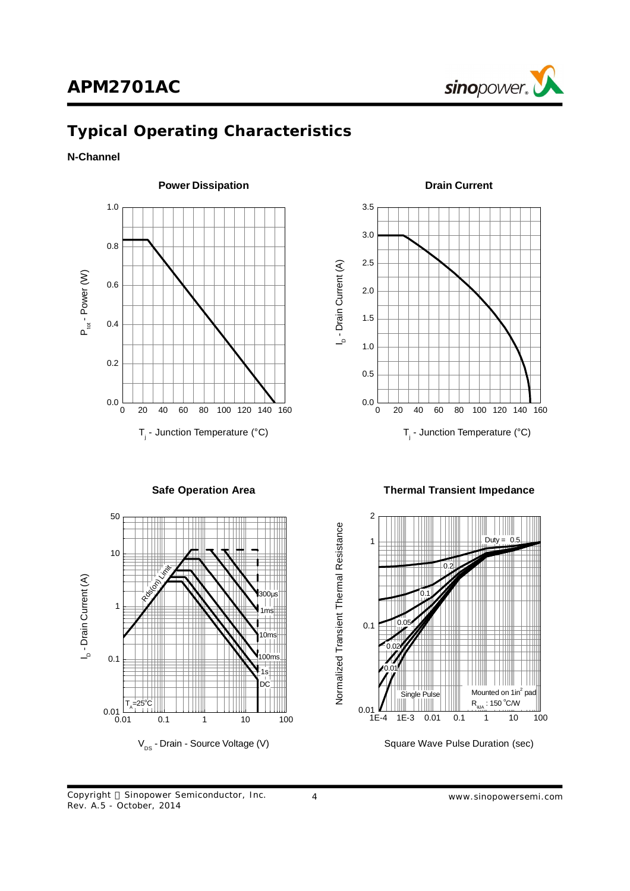

## **Typical Operating Characteristics**

### **N-Channel**



 $V_{DS}$  - Drain - Source Voltage (V)  $V_{DS}$  - Square Wave Pulse Duration (sec)

Copyright © Sinopower Semiconductor, Inc. Rev. A.5 - October, 2014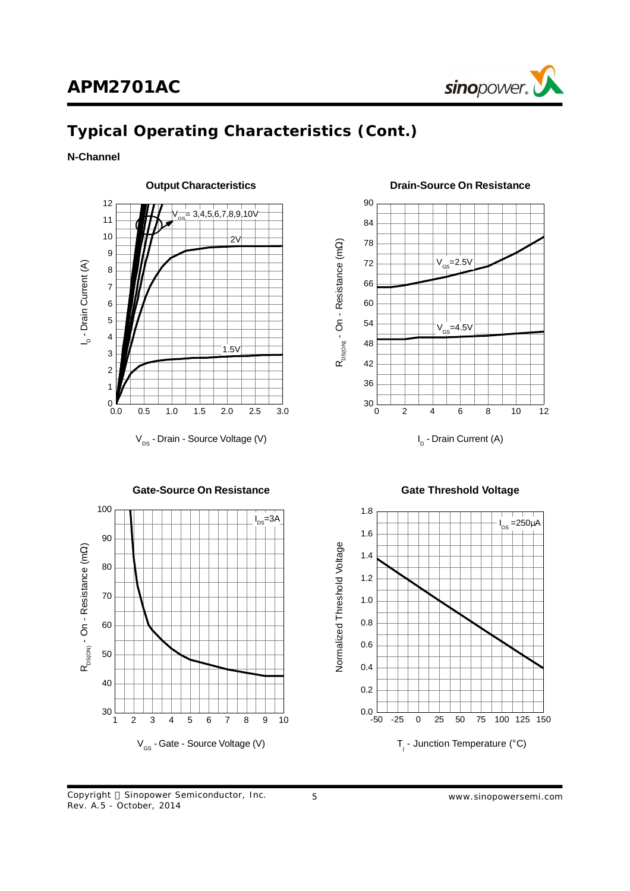

### **N-Channel**



Copyright © Sinopower Semiconductor, Inc. Rev. A.5 - October, 2014

5 *www.sinopowersemi.com*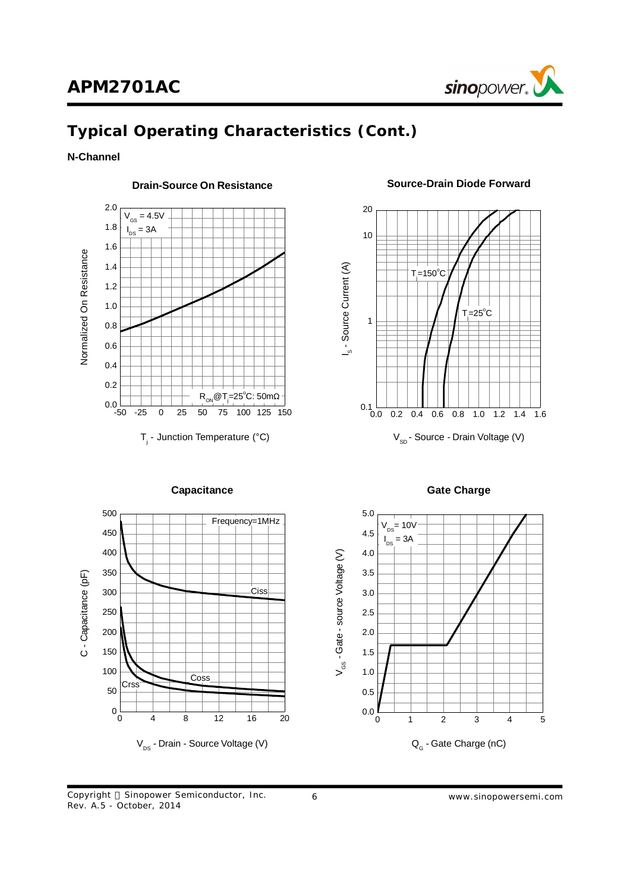

### **N-Channel**



**Drain-Source On Resistance Source-Drain Diode Forward**





 $V_{DS}$  - Drain - Source Voltage (V)



**Capacitance Capacitance Capacitance Capacitance Capacitance Charge**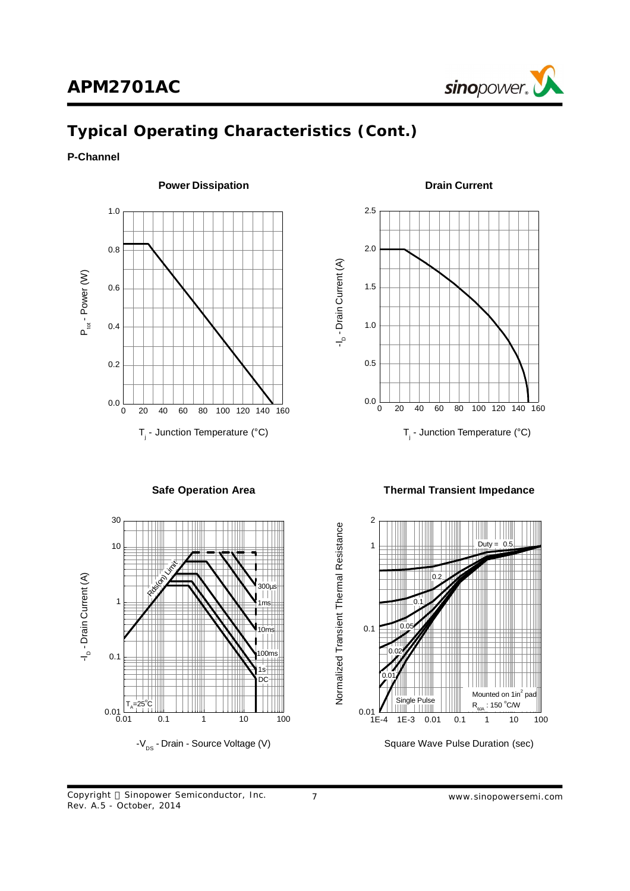

### **P-Channel**





**Safe Operation Area Thermal Transient Impedance**



-V<sub>DS</sub> - Drain - Source Voltage (V) Square Wave Pulse Duration (sec)

Copyright © Sinopower Semiconductor, Inc. Rev. A.5 - October, 2014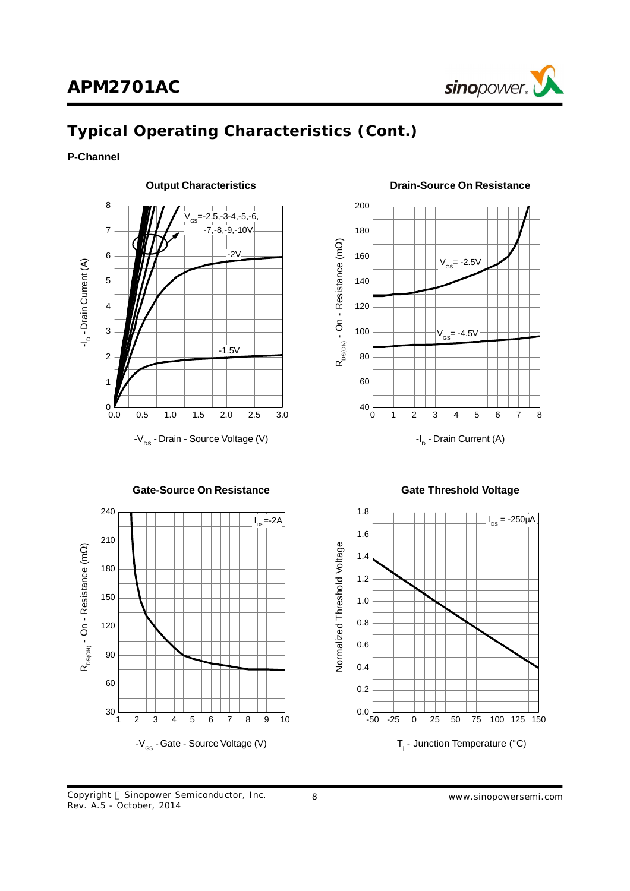

### **P-Channel**



Copyright © Sinopower Semiconductor, Inc. Rev. A.5 - October, 2014

8 *www.sinopowersemi.com*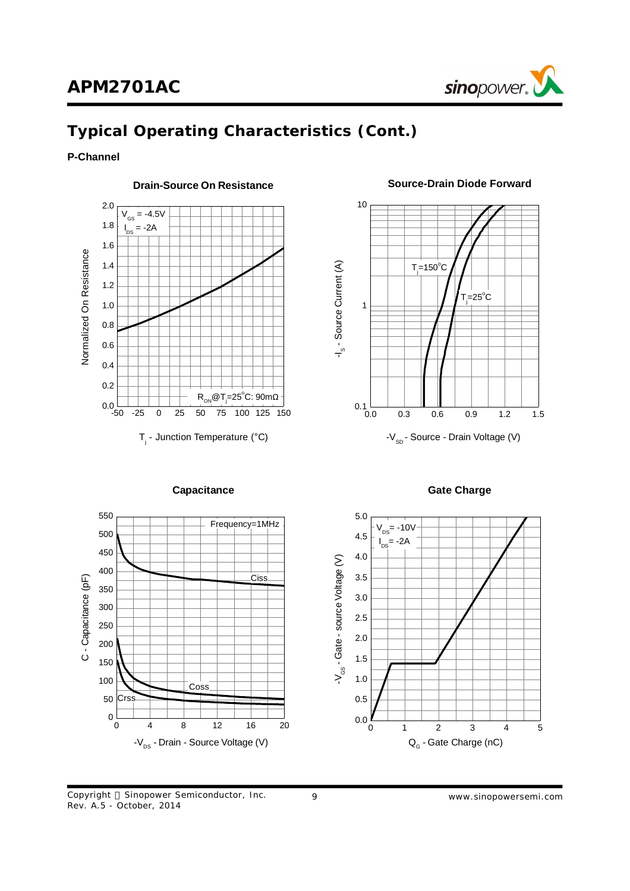

### **P-Channel**



### **Drain-Source On Resistance Source-Drain Diode Forward**



**Capacitance Capacitance Capacitance Capacitance Capacitance Capacitance Capacitance Capacitance Capacitance Capacitance Capacitance Capacitance Capacitance Capacitance Capacitance Capacitance Capacitance Capacitance Capac** 



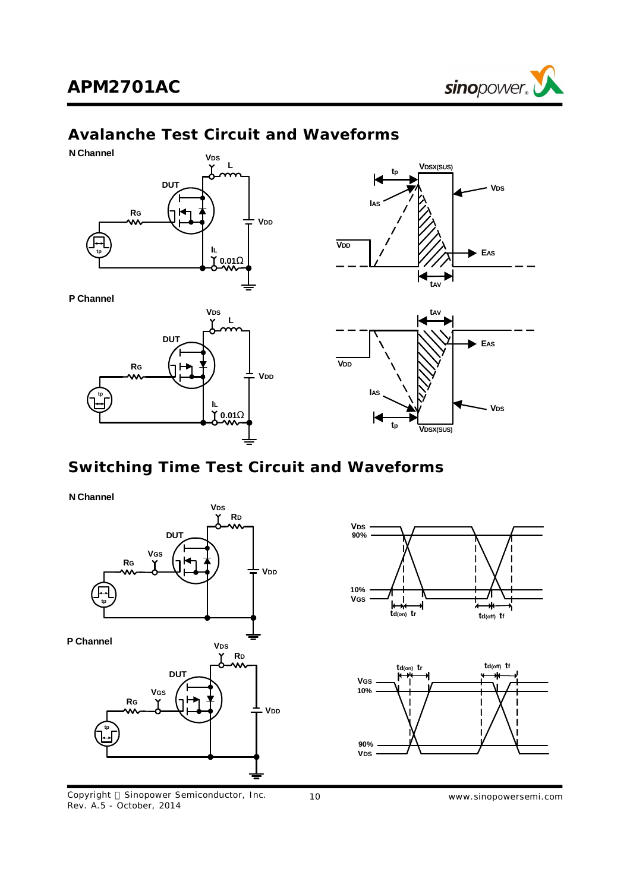

## **Avalanche Test Circuit and Waveforms**



## **Switching Time Test Circuit and Waveforms**

**N Channel**



Copyright © Sinopower Semiconductor, Inc. Rev. A.5 - October, 2014





10 *www.sinopowersemi.com*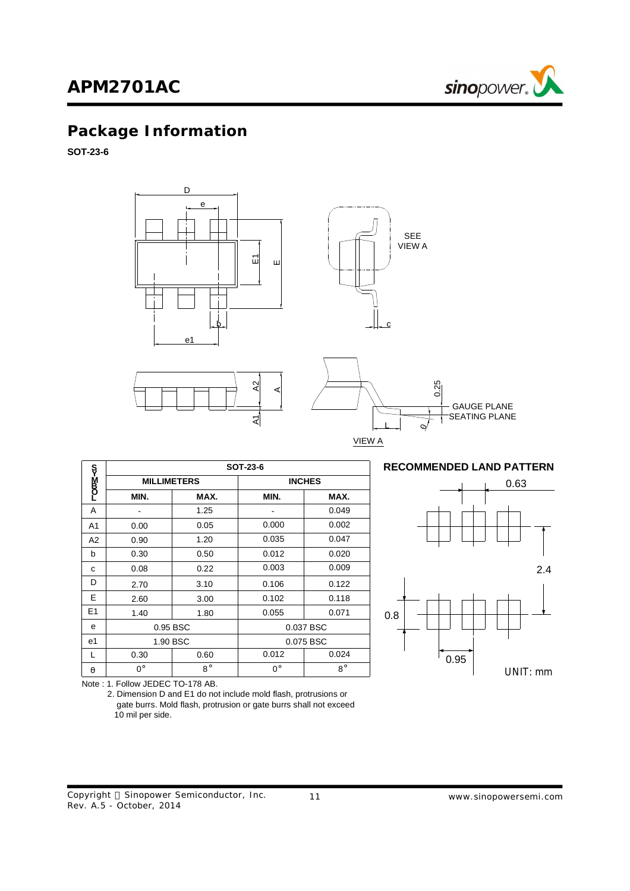

# **Package Information**

**SOT-23-6**



|                            | SOT-23-6           |             |             |               |  |
|----------------------------|--------------------|-------------|-------------|---------------|--|
| <b>LORE-<m< b=""></m<></b> | <b>MILLIMETERS</b> |             |             | <b>INCHES</b> |  |
|                            | MIN.               | MAX.        | MIN.        | MAX.          |  |
| A                          |                    | 1.25        |             | 0.049         |  |
| A <sub>1</sub>             | 0.00               | 0.05        | 0.000       | 0.002         |  |
| A <sub>2</sub>             | 0.90               | 1.20        | 0.035       | 0.047         |  |
| b                          | 0.30               | 0.50        | 0.012       | 0.020         |  |
| C                          | 0.08               | 0.22        | 0.003       | 0.009         |  |
| D                          | 2.70               | 3.10        | 0.106       | 0.122         |  |
| E                          | 2.60               | 3.00        | 0.102       | 0.118         |  |
| E1                         | 1.40               | 1.80        | 0.055       | 0.071         |  |
| e                          | 0.95 BSC           |             |             | 0.037 BSC     |  |
| e1                         | 1.90 BSC           |             |             | 0.075 BSC     |  |
| L                          | 0.30               | 0.60        | 0.012       | 0.024         |  |
| θ                          | $0^{\circ}$        | $8^{\circ}$ | $0^{\circ}$ | $8^{\circ}$   |  |





Note : 1. Follow JEDEC TO-178 AB.

 2. Dimension D and E1 do not include mold flash, protrusions or gate burrs. Mold flash, protrusion or gate burrs shall not exceed 10 mil per side.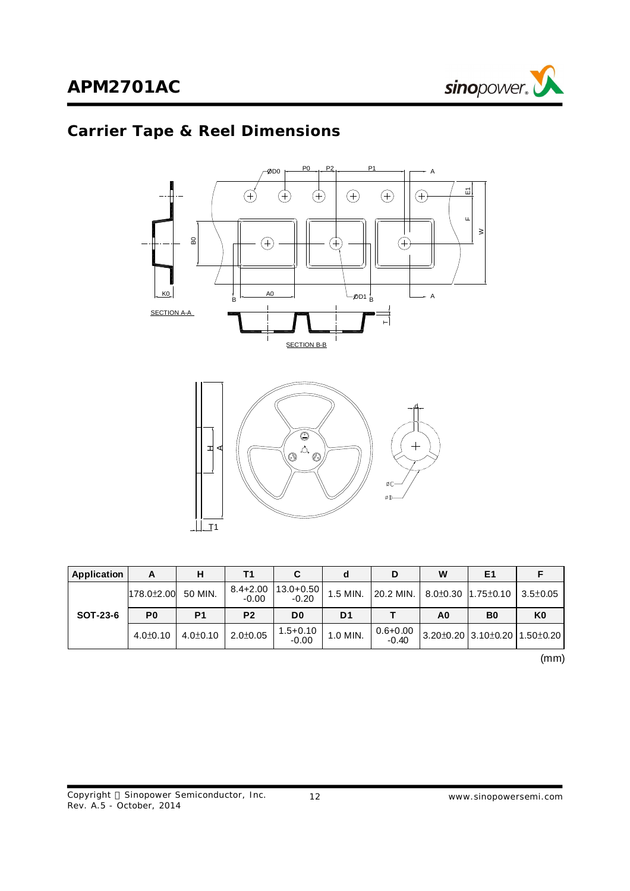

# **Carrier Tape & Reel Dimensions**



| Application | A              |                | Τ1                      | C                        | d              |                         | W              | E1                            |                |
|-------------|----------------|----------------|-------------------------|--------------------------|----------------|-------------------------|----------------|-------------------------------|----------------|
|             | 178.0±2.00     | 50 MIN.        | $8.4 + 2.00$<br>$-0.00$ | $13.0 + 0.50$<br>$-0.20$ | 1.5 MIN.       | 20.2 MIN.               |                | 8.0±0.30 1.75±0.10            | $3.5 \pm 0.05$ |
| SOT-23-6    | P <sub>0</sub> | P <sub>1</sub> | P <sub>2</sub>          | D <sub>0</sub>           | D <sub>1</sub> |                         | A <sub>0</sub> | B <sub>0</sub>                | K0             |
|             | $4.0\pm0.10$   | $4.0 \pm 0.10$ | $2.0 \pm 0.05$          | $1.5 + 0.10$<br>$-0.00$  | 1.0 MIN.       | $0.6 + 0.00$<br>$-0.40$ |                | 3.20±0.20 3.10±0.20 1.50±0.20 |                |

(mm)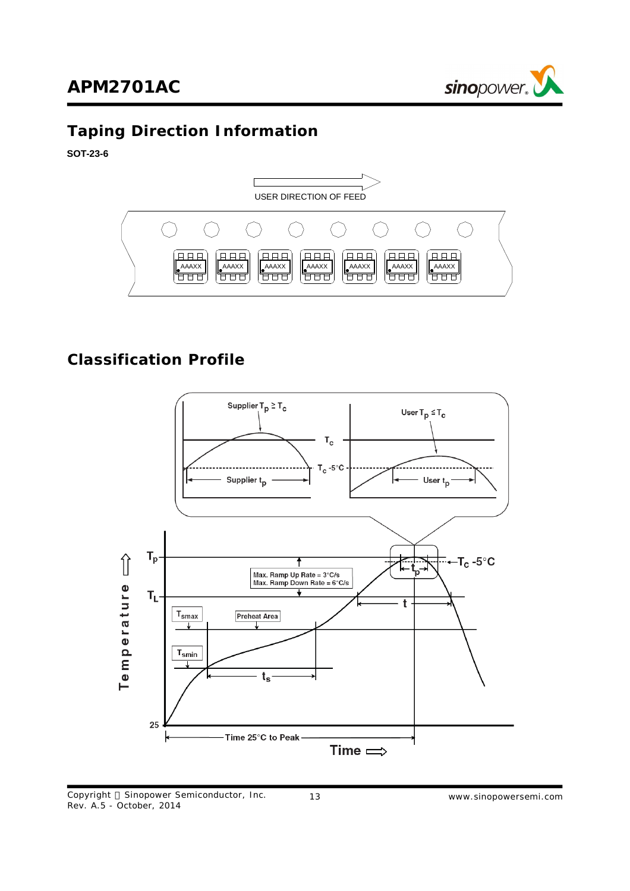

## **Taping Direction Information**

**SOT-23-6**



# **Classification Profile**

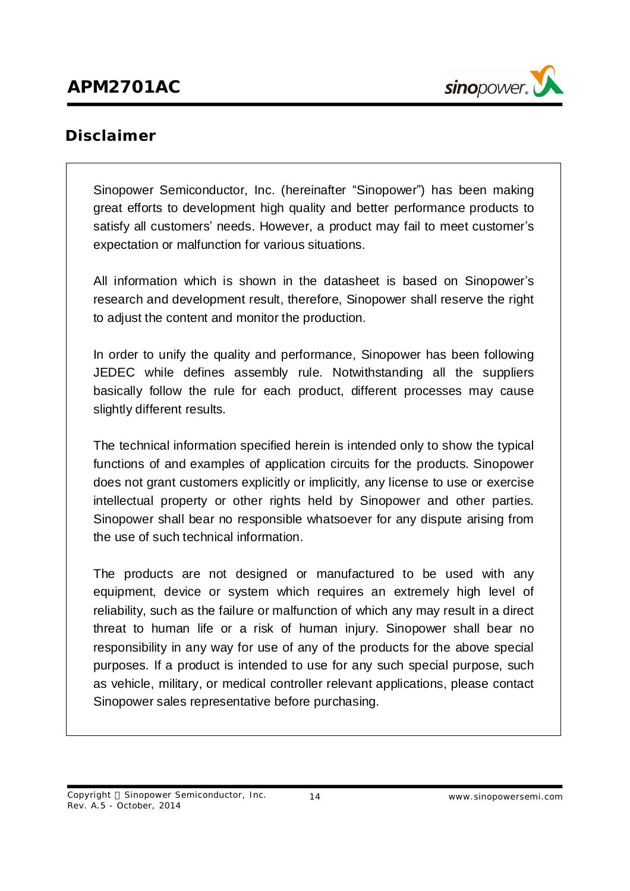# **APM2701AC ®**



## **Disclaimer**

Sinopower Semiconductor, Inc. (hereinafter "Sinopower") has been making great efforts to development high quality and better performance products to satisfy all customers' needs. However, a product may fail to meet customer's expectation or malfunction for various situations.

All information which is shown in the datasheet is based on Sinopower's research and development result, therefore, Sinopower shall reserve the right to adjust the content and monitor the production.

In order to unify the quality and performance, Sinopower has been following JEDEC while defines assembly rule. Notwithstanding all the suppliers basically follow the rule for each product, different processes may cause slightly different results.

The technical information specified herein is intended only to show the typical functions of and examples of application circuits for the products. Sinopower does not grant customers explicitly or implicitly, any license to use or exercise intellectual property or other rights held by Sinopower and other parties. Sinopower shall bear no responsible whatsoever for any dispute arising from the use of such technical information.

The products are not designed or manufactured to be used with any equipment, device or system which requires an extremely high level of reliability, such as the failure or malfunction of which any may result in a direct threat to human life or a risk of human injury. Sinopower shall bear no responsibility in any way for use of any of the products for the above special purposes. If a product is intended to use for any such special purpose, such as vehicle, military, or medical controller relevant applications, please contact Sinopower sales representative before purchasing.